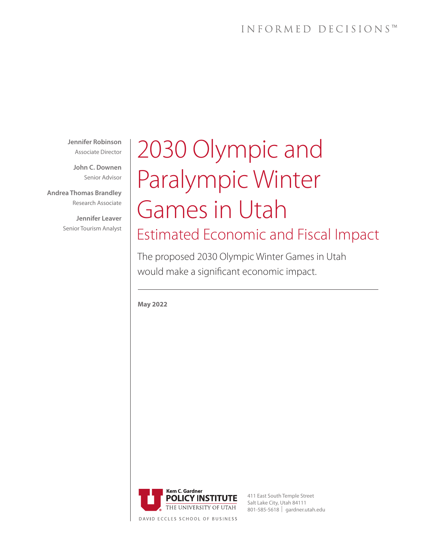## INFORMED DECISIONS™

**Jennifer Robinson** Associate Director

**John C. Downen** Senior Advisor

**Andrea Thomas Brandley** Research Associate

> **Jennifer Leaver** Senior Tourism Analyst

# 2030 Olympic and Paralympic Winter Games in Utah Estimated Economic and Fiscal Impact

The proposed 2030 Olympic Winter Games in Utah would make a significant economic impact.

**May 2022** 



411 East South Temple Street Salt Lake City, Utah 84111 801-585-5618 **I** gardner.utah.edu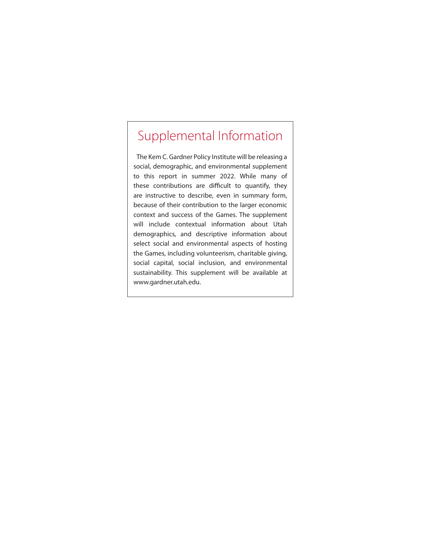## Supplemental Information

The Kem C. Gardner Policy Institute will be releasing a social, demographic, and environmental supplement to this report in summer 2022. While many of these contributions are difficult to quantify, they are instructive to describe, even in summary form, because of their contribution to the larger economic context and success of the Games. The supplement will include contextual information about Utah demographics, and descriptive information about select social and environmental aspects of hosting the Games, including volunteerism, charitable giving, social capital, social inclusion, and environmental sustainability. This supplement will be available at www.gardner.utah.edu.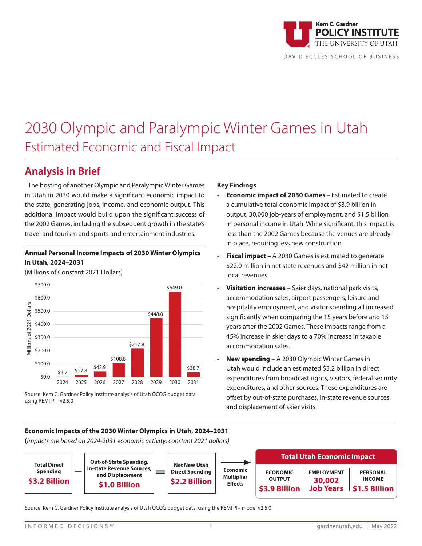

## 2030 Olympic and Paralympic Winter Games in Utah Estimated Economic and Fiscal Impact

## **Analysis in Brief**

The hosting of another Olympic and Paralympic Winter Games in Utah in 2030 would make a significant economic impact to the state, generating jobs, income, and economic output. This additional impact would build upon the significant success of the 2002 Games, including the subsequent growth in the state's travel and tourism and sports and entertainment industries.

#### **Annual Personal Income Impacts of 2030 Winter Olympics in Utah, 2024–2031**

(Millions of Constant 2021 Dollars)



Source: Kem C. Gardner Policy Institute analysis of Utah OCOG budget data using REMI PI+ v2.5.0

#### **Key Findings**

- **Economic impact of 2030 Games**  Estimated to create a cumulative total economic impact of \$3.9 billion in output, 30,000 job-years of employment, and \$1.5 billion in personal income in Utah. While significant, this impact is less than the 2002 Games because the venues are already in place, requiring less new construction.
- **Fiscal impact –** A 2030 Games is estimated to generate \$22.0 million in net state revenues and \$42 million in net local revenues
- **Visitation increases** Skier days, national park visits, accommodation sales, airport passengers, leisure and hospitality employment, and visitor spending all increased significantly when comparing the 15 years before and 15 years after the 2002 Games. These impacts range from a 45% increase in skier days to a 70% increase in taxable accommodation sales.
- **New spending**  A 2030 Olympic Winter Games in Utah would include an estimated \$3.2 billion in direct expenditures from broadcast rights, visitors, federal security expenditures, and other sources. These expenditures are offset by out-of-state purchases, in-state revenue sources, and displacement of skier visits.

#### **Economic Impacts of the 2030 Winter Olympics in Utah, 2024–2031**

**(***Impacts are based on 2024-2031 economic activity; constant 2021 dollars)*



Source: Kem C. Gardner Policy Institute analysis of Utah OCOG budget data, using the REMI PI+ model v2.5.0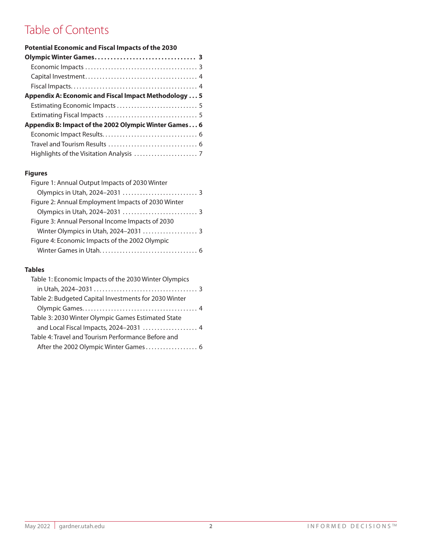## Table of Contents

| <b>Potential Economic and Fiscal Impacts of the 2030</b> |
|----------------------------------------------------------|
|                                                          |
|                                                          |
|                                                          |
|                                                          |
| Appendix A: Economic and Fiscal Impact Methodology  5    |
|                                                          |
|                                                          |
| Appendix B: Impact of the 2002 Olympic Winter Games 6    |
|                                                          |
|                                                          |
|                                                          |

#### **Figures**

| Figure 1: Annual Output Impacts of 2030 Winter     |  |
|----------------------------------------------------|--|
|                                                    |  |
| Figure 2: Annual Employment Impacts of 2030 Winter |  |
|                                                    |  |
| Figure 3: Annual Personal Income Impacts of 2030   |  |
|                                                    |  |
| Figure 4: Economic Impacts of the 2002 Olympic     |  |
|                                                    |  |

#### **Tables**

| Table 1: Economic Impacts of the 2030 Winter Olympics |
|-------------------------------------------------------|
|                                                       |
| Table 2: Budgeted Capital Investments for 2030 Winter |
|                                                       |
| Table 3: 2030 Winter Olympic Games Estimated State    |
| and Local Fiscal Impacts, 2024-2031  4                |
| Table 4: Travel and Tourism Performance Before and    |
| After the 2002 Olympic Winter Games 6                 |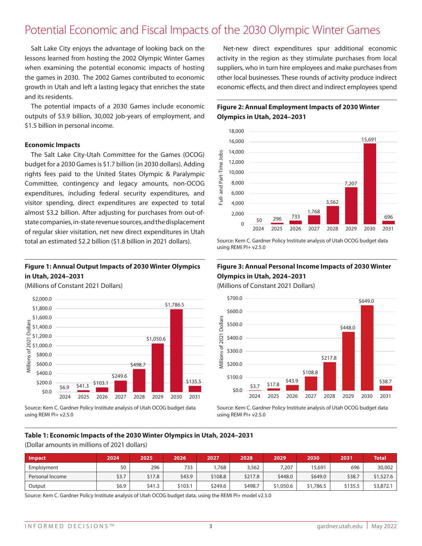#### \$1,200.0 Potential Economic and Fiscal Impacts of the 2030 Olympic Winter Games

Salt Lake City enjoys the advantage of looking back on the lessons learned from hosting the 2002 Olympic Winter Games when examining the potential economic impacts of hosting the games in 2030. The 2002 Games contributed to economic growth in Utah and left a lasting legacy that enriches the state and its residents.

The potential impacts of a 2030 Games include economic outputs of \$3.9 billion, 30,002 job-years of employment, and \$1.5 billion in personal income.

#### **Economic Impacts**

The Salt Lake City-Utah Committee for the Games (OCOG) budget for a 2030 Games is \$1.7 billion (in 2030 dollars). Adding rights fees paid to the United States Olympic & Paralympic Committee, contingency and legacy amounts, non-OCOG expenditures, including federal security expenditures, and visitor spending, direct expenditures are expected to total almost \$3.2 billion. After adjusting for purchases from out-ofstate companies, in-state revenue sources, and the displacement of regular skier visitation, net new direct expenditures in Utah total an estimated \$2.2 billion (\$1.8 billion in 2021 dollars).

#### **Figure 1: Annual Output Impacts of 2030 Winter Olympics in Utah, 2024–2031**

(Millions of Constant 2021 Dollars)



Source: Kem C. Gardner Policy Institute analysis of Utah OCOG budget data using REMI PI+ v2.5.0

economic effects, and then direct and indirect employees spend other local businesses. These rounds of activity produce indirect suppliers, who in turn hire employees and make purchases from activity in the region as they stimulate purchases from local Net-new direct expenditures spur additional economic f<br>ac<br>su

2024 2025 2026 2027 2028 2029 2030 2031

#### **Figure 2: Annual Employment Impacts of 2030 Winter Olympics in Utah, 2024–2031**



Source: Kem C. Gardner Policy Institute analysis of Utah OCOG budget data using REMI PI+ v2.5.0

#### **Figure 3: Annual Personal Income Impacts of 2030 Winter Olympics in Utah, 2024–2031**

(Millions of Constant 2021 Dollars)



Source: Kem C. Gardner Policy Institute analysis of Utah OCOG budget data using REMI PI+ v2.5.0

#### **Table 1: Economic Impacts of the 2030 Winter Olympics in Utah, 2024–2031** 18,000 .,...<br>. 18,000 , 1911**.**<br>.

(Dollar amounts in millions of 2021 dollars) 14,000

<sup>50</sup> <sup>296</sup> <sup>733</sup>

| Impact                                                                                                     | 2024  | 2025   | 2026    | 2027    | 2028    | 2029      | 2030      | 2031    | <b>Total</b> |
|------------------------------------------------------------------------------------------------------------|-------|--------|---------|---------|---------|-----------|-----------|---------|--------------|
| Employment                                                                                                 | 50    | 296    | 733     | ,768    | 3,562   | 7,207     | 15,691    | 696     | 30,002       |
| Personal Income                                                                                            | \$3.7 | \$17.8 | \$43.9  | \$108.8 | \$217.8 | \$448.0   | \$649.0   | \$38.7  | \$1,527.6    |
| Output                                                                                                     | \$6.9 | \$41.3 | \$103.1 | \$249.6 | \$498.7 | \$1,050.6 | \$1,786.5 | \$135.5 | \$3,872.1    |
| Source: Kem C. Gardner Policy Institute analysis of Utah OCOG budget data, using the REMI PI+ model v2.5.0 |       |        |         |         |         |           |           |         |              |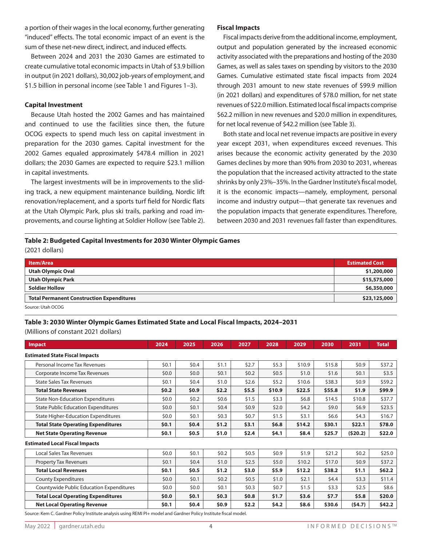a portion of their wages in the local economy, further generating "induced" effects. The total economic impact of an event is the sum of these net-new direct, indirect, and induced effects.

Between 2024 and 2031 the 2030 Games are estimated to create cumulative total economic impacts in Utah of \$3.9 billion in output (in 2021 dollars), 30,002 job-years of employment, and \$1.5 billion in personal income (see Table 1 and Figures 1–3).

#### **Capital Investment**

Because Utah hosted the 2002 Games and has maintained and continued to use the facilities since then, the future OCOG expects to spend much less on capital investment in preparation for the 2030 games. Capital investment for the 2002 Games equaled approximately \$478.4 million in 2021 dollars; the 2030 Games are expected to require \$23.1 million in capital investments.

The largest investments will be in improvements to the sliding track, a new equipment maintenance building, Nordic lift renovation/replacement, and a sports turf field for Nordic flats at the Utah Olympic Park, plus ski trails, parking and road improvements, and course lighting at Soldier Hollow (see Table 2).

#### **Fiscal Impacts**

Fiscal impacts derive from the additional income, employment, output and population generated by the increased economic activity associated with the preparations and hosting of the 2030 Games, as well as sales taxes on spending by visitors to the 2030 Games. Cumulative estimated state fiscal impacts from 2024 through 2031 amount to new state revenues of \$99.9 million (in 2021 dollars) and expenditures of \$78.0 million, for net state revenues of \$22.0 million. Estimated local fiscal impacts comprise \$62.2 million in new revenues and \$20.0 million in expenditures, for net local revenue of \$42.2 million (see Table 3).

Both state and local net revenue impacts are positive in every year except 2031, when expenditures exceed revenues. This arises because the economic activity generated by the 2030 Games declines by more than 90% from 2030 to 2031, whereas the population that the increased activity attracted to the state shrinks by only 23%–35%. In the Gardner Institute's fiscal model, it is the economic impacts—namely, employment, personal income and industry output—that generate tax revenues and the population impacts that generate expenditures. Therefore, between 2030 and 2031 revenues fall faster than expenditures.

#### **Table 2: Budgeted Capital Investments for 2030 Winter Olympic Games** (2021 dollars)

| <b>Item/Area</b>                                 | <b>Estimated Cost</b> |
|--------------------------------------------------|-----------------------|
| <b>Utah Olympic Oval</b>                         | \$1,200,000           |
| <b>Utah Olympic Park</b>                         | \$15,575,000          |
| <b>Soldier Hollow</b>                            | \$6,350,000           |
| <b>Total Permanent Construction Expenditures</b> | \$23,125,000          |
| Source: Utah OCOG                                |                       |

## **Table 3: 2030 Winter Olympic Games Estimated State and Local Fiscal Impacts, 2024–2031**

(Millions of constant 2021 dollars)

| <b>Impact</b>                              | 2024    | 2025    | 2026    | 2027    | 2028    | 2029    | 2030    | 2031    | <b>Total</b> |
|--------------------------------------------|---------|---------|---------|---------|---------|---------|---------|---------|--------------|
| <b>Estimated State Fiscal Impacts</b>      |         |         |         |         |         |         |         |         |              |
| Personal Income Tax Revenues               | \$0.1   | \$0.4   | \$1.1   | \$2.7   | \$5.3   | \$10.9  | \$15.8  | \$0.9   | \$37.2       |
| Corporate Income Tax Revenues              | \$0.0\$ | \$0.0\$ | \$0.1   | \$0.2\$ | \$0.5   | \$1.0   | \$1.6   | \$0.1   | \$3.5        |
| <b>State Sales Tax Revenues</b>            | \$0.1   | \$0.4\$ | \$1.0   | \$2.6   | \$5.2   | \$10.6  | \$38.3  | \$0.9   | \$59.2       |
| <b>Total State Revenues</b>                | \$0.2   | \$0.9   | \$2.2   | \$5.5   | \$10.9  | \$22.5  | \$55.8  | \$1.9   | \$99.9       |
| <b>State Non-Education Expenditures</b>    | \$0.0\$ | \$0.2\$ | \$0.6   | \$1.5   | \$3.3   | \$6.8   | \$14.5  | \$10.8  | \$37.7       |
| <b>State Public Education Expenditures</b> | \$0.0\$ | \$0.1   | \$0.4\$ | \$0.9\$ | \$2.0   | \$4.2\$ | \$9.0   | \$6.9\$ | \$23.5       |
| <b>State Higher-Education Expenditures</b> | \$0.0   | \$0.1   | \$0.3\$ | \$0.7   | \$1.5   | \$3.1   | \$6.6\$ | \$4.3   | \$16.7       |
| <b>Total State Operating Expenditures</b>  | \$0.1   | \$0.4   | \$1.2   | \$3.1   | \$6.8\$ | \$14.2  | \$30.1  | \$22.1  | \$78.0       |
| <b>Net State Operating Revenue</b>         | \$0.1   | \$0.5   | \$1.0   | \$2.4\$ | \$4.1   | \$8.4   | \$25.7  | (520.2) | \$22.0       |
| <b>Estimated Local Fiscal Impacts</b>      |         |         |         |         |         |         |         |         |              |
| Local Sales Tax Revenues                   | \$0.0   | \$0.1   | \$0.2\$ | \$0.5   | \$0.9   | \$1.9   | \$21.2  | \$0.2\$ | \$25.0       |
| <b>Property Tax Revenues</b>               | \$0.1   | \$0.4   | \$1.0   | \$2.5   | \$5.0   | \$10.2  | \$17.0  | \$0.9\$ | \$37.2       |
| <b>Total Local Revenues</b>                | \$0.1   | \$0.5   | \$1.2   | \$3.0   | \$5.9   | \$12.2  | \$38.2  | \$1.1   | \$62.2       |
| <b>County Expenditures</b>                 | \$0.0\$ | \$0.1   | \$0.2\$ | \$0.5   | \$1.0   | \$2.1   | \$4.4   | \$3.3   | \$11.4       |
| Countywide Public Education Expenditures   | \$0.0\$ | \$0.0   | \$0.1   | \$0.3   | \$0.7   | \$1.5   | \$3.3   | \$2.5   | \$8.6        |
| <b>Total Local Operating Expenditures</b>  | \$0.0   | \$0.1   | \$0.3\$ | \$0.8\$ | \$1.7   | \$3.6   | \$7.7   | \$5.8   | \$20.0       |
| <b>Net Local Operating Revenue</b>         | \$0.1   | \$0.4\$ | \$0.9   | \$2.2   | \$4.2   | \$8.6   | \$30.6  | (54.7)  | \$42.2       |

Source: Kem C. Gardner Policy Institute analysis using REMI PI+ model and Gardner Policy Institute fiscal model.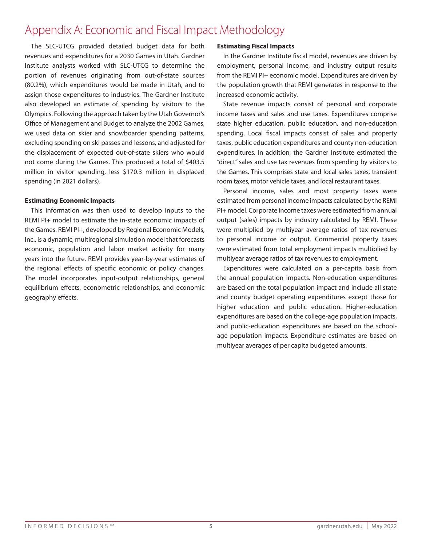## Appendix A: Economic and Fiscal Impact Methodology

The SLC-UTCG provided detailed budget data for both revenues and expenditures for a 2030 Games in Utah. Gardner Institute analysts worked with SLC-UTCG to determine the portion of revenues originating from out-of-state sources (80.2%), which expenditures would be made in Utah, and to assign those expenditures to industries. The Gardner Institute also developed an estimate of spending by visitors to the Olympics. Following the approach taken by the Utah Governor's Office of Management and Budget to analyze the 2002 Games, we used data on skier and snowboarder spending patterns, excluding spending on ski passes and lessons, and adjusted for the displacement of expected out-of-state skiers who would not come during the Games. This produced a total of \$403.5 million in visitor spending, less \$170.3 million in displaced spending (in 2021 dollars).

#### **Estimating Economic Impacts**

This information was then used to develop inputs to the REMI PI+ model to estimate the in-state economic impacts of the Games. REMI PI+, developed by Regional Economic Models, Inc., is a dynamic, multiregional simulation model that forecasts economic, population and labor market activity for many years into the future. REMI provides year-by-year estimates of the regional effects of specific economic or policy changes. The model incorporates input-output relationships, general equilibrium effects, econometric relationships, and economic geography effects.

#### **Estimating Fiscal Impacts**

In the Gardner Institute fiscal model, revenues are driven by employment, personal income, and industry output results from the REMI PI+ economic model. Expenditures are driven by the population growth that REMI generates in response to the increased economic activity.

State revenue impacts consist of personal and corporate income taxes and sales and use taxes. Expenditures comprise state higher education, public education, and non-education spending. Local fiscal impacts consist of sales and property taxes, public education expenditures and county non-education expenditures. In addition, the Gardner Institute estimated the "direct" sales and use tax revenues from spending by visitors to the Games. This comprises state and local sales taxes, transient room taxes, motor vehicle taxes, and local restaurant taxes.

Personal income, sales and most property taxes were estimated from personal income impacts calculated by the REMI PI+ model. Corporate income taxes were estimated from annual output (sales) impacts by industry calculated by REMI. These were multiplied by multiyear average ratios of tax revenues to personal income or output. Commercial property taxes were estimated from total employment impacts multiplied by multiyear average ratios of tax revenues to employment.

Expenditures were calculated on a per-capita basis from the annual population impacts. Non-education expenditures are based on the total population impact and include all state and county budget operating expenditures except those for higher education and public education. Higher-education expenditures are based on the college-age population impacts, and public-education expenditures are based on the schoolage population impacts. Expenditure estimates are based on multiyear averages of per capita budgeted amounts.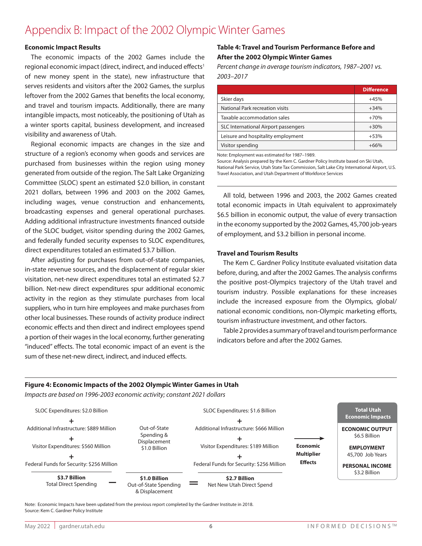## Appendix B: Impact of the 2002 Olympic Winter Games

#### **Economic Impact Results**

The economic impacts of the 2002 Games include the regional economic impact (direct, indirect, and induced effects<sup>1</sup> of new money spent in the state), new infrastructure that serves residents and visitors after the 2002 Games, the surplus leftover from the 2002 Games that benefits the local economy, and travel and tourism impacts. Additionally, there are many intangible impacts, most noticeably, the positioning of Utah as a winter sports capital, business development, and increased visibility and awareness of Utah.

Regional economic impacts are changes in the size and structure of a region's economy when goods and services are purchased from businesses within the region using money generated from outside of the region. The Salt Lake Organizing Committee (SLOC) spent an estimated \$2.0 billion, in constant 2021 dollars, between 1996 and 2003 on the 2002 Games, including wages, venue construction and enhancements, broadcasting expenses and general operational purchases. Adding additional infrastructure investments financed outside of the SLOC budget, visitor spending during the 2002 Games, and federally funded security expenses to SLOC expenditures, direct expenditures totaled an estimated \$3.7 billion.

After adjusting for purchases from out-of-state companies, in-state revenue sources, and the displacement of regular skier visitation, net-new direct expenditures total an estimated \$2.7 billion. Net-new direct expenditures spur additional economic activity in the region as they stimulate purchases from local suppliers, who in turn hire employees and make purchases from other local businesses. These rounds of activity produce indirect economic effects and then direct and indirect employees spend a portion of their wages in the local economy, further generating "induced" effects. The total economic impact of an event is the sum of these net-new direct, indirect, and induced effects.

#### **Table 4: Travel and Tourism Performance Before and After the 2002 Olympic Winter Games**

*Percent change in average tourism indicators, 1987–2001 vs. 2003–2017*

|                                      | <b>Difference</b> |
|--------------------------------------|-------------------|
| Skier days                           | $+45%$            |
| National Park recreation visits      | $+34%$            |
| Taxable accommodation sales          | $+70%$            |
| SLC International Airport passengers | $+30%$            |
| Leisure and hospitality employment   | $+53%$            |
| Visitor spending                     | $+66\%$           |

Note: Employment was estimated for 1987–1989.

Source: Analysis prepared by the Kem C. Gardner Policy Institute based on Ski Utah, National Park Service, Utah State Tax Commission, Salt Lake City International Airport, U.S. Travel Association, and Utah Department of Workforce Services

All told, between 1996 and 2003, the 2002 Games created total economic impacts in Utah equivalent to approximately \$6.5 billion in economic output, the value of every transaction in the economy supported by the 2002 Games, 45,700 job-years of employment, and \$3.2 billion in personal income.

#### **Travel and Tourism Results**

The Kem C. Gardner Policy Institute evaluated visitation data before, during, and after the 2002 Games. The analysis confirms the positive post-Olympics trajectory of the Utah travel and tourism industry. Possible explanations for these increases include the increased exposure from the Olympics, global/ national economic conditions, non-Olympic marketing efforts, tourism infrastructure investment, and other factors.

Table 2 provides a summary of travel and tourism performance indicators before and after the 2002 Games.

#### **Figure 4: Economic Impacts of the 2002 Olympic Winter Games in Utah**

*Impacts are based on 1996-2003 economic activity; constant 2021 dollars*



Note: Economic Impacts have been updated from the previous report completed by the Gardner Institute in 2018. Source: Kem C. Gardner Policy Institute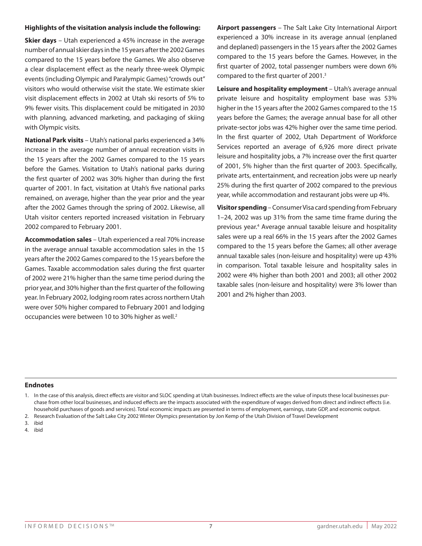#### **Highlights of the visitation analysis include the following:**

**Skier days** – Utah experienced a 45% increase in the average number of annual skier days in the 15 years after the 2002 Games compared to the 15 years before the Games. We also observe a clear displacement effect as the nearly three-week Olympic events (including Olympic and Paralympic Games) "crowds out" visitors who would otherwise visit the state. We estimate skier visit displacement effects in 2002 at Utah ski resorts of 5% to 9% fewer visits. This displacement could be mitigated in 2030 with planning, advanced marketing, and packaging of skiing with Olympic visits.

**National Park visits** – Utah's national parks experienced a 34% increase in the average number of annual recreation visits in the 15 years after the 2002 Games compared to the 15 years before the Games. Visitation to Utah's national parks during the first quarter of 2002 was 30% higher than during the first quarter of 2001. In fact, visitation at Utah's five national parks remained, on average, higher than the year prior and the year after the 2002 Games through the spring of 2002. Likewise, all Utah visitor centers reported increased visitation in February 2002 compared to February 2001.

**Accommodation sales** – Utah experienced a real 70% increase in the average annual taxable accommodation sales in the 15 years after the 2002 Games compared to the 15 years before the Games. Taxable accommodation sales during the first quarter of 2002 were 21% higher than the same time period during the prior year, and 30% higher than the first quarter of the following year. In February 2002, lodging room rates across northern Utah were over 50% higher compared to February 2001 and lodging occupancies were between 10 to 30% higher as well.2

**Airport passengers** – The Salt Lake City International Airport experienced a 30% increase in its average annual (enplaned and deplaned) passengers in the 15 years after the 2002 Games compared to the 15 years before the Games. However, in the first quarter of 2002, total passenger numbers were down 6% compared to the first quarter of 2001.<sup>3</sup>

**Leisure and hospitality employment** – Utah's average annual private leisure and hospitality employment base was 53% higher in the 15 years after the 2002 Games compared to the 15 years before the Games; the average annual base for all other private-sector jobs was 42% higher over the same time period. In the first quarter of 2002, Utah Department of Workforce Services reported an average of 6,926 more direct private leisure and hospitality jobs, a 7% increase over the first quarter of 2001, 5% higher than the first quarter of 2003. Specifically, private arts, entertainment, and recreation jobs were up nearly 25% during the first quarter of 2002 compared to the previous year, while accommodation and restaurant jobs were up 4%.

**Visitor spending** – Consumer Visa card spending from February 1–24, 2002 was up 31% from the same time frame during the previous year.<sup>4</sup> Average annual taxable leisure and hospitality sales were up a real 66% in the 15 years after the 2002 Games compared to the 15 years before the Games; all other average annual taxable sales (non-leisure and hospitality) were up 43% in comparison. Total taxable leisure and hospitality sales in 2002 were 4% higher than both 2001 and 2003; all other 2002 taxable sales (non-leisure and hospitality) were 3% lower than 2001 and 2% higher than 2003.

#### **Endnotes**

4. ibid

<sup>1.</sup> In the case of this analysis, direct effects are visitor and SLOC spending at Utah businesses. Indirect effects are the value of inputs these local businesses purchase from other local businesses, and induced effects are the impacts associated with the expenditure of wages derived from direct and indirect effects (i.e. household purchases of goods and services). Total economic impacts are presented in terms of employment, earnings, state GDP, and economic output.

<sup>2.</sup> Research Evaluation of the Salt Lake City 2002 Winter Olympics presentation by Jon Kemp of the Utah Division of Travel Development

<sup>3.</sup> ibid